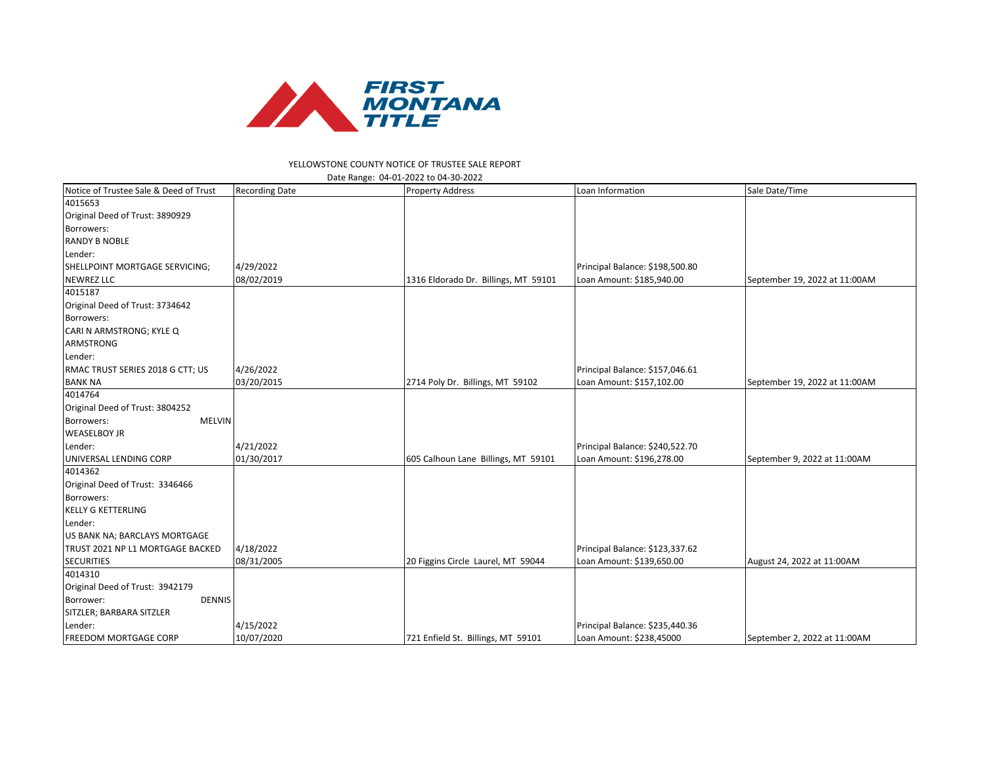

## YELLOWSTONE COUNTY NOTICE OF TRUSTEE SALE REPORT

| Date Range: 04-01-2022 to 04-30-2022   |                       |                                      |                                 |                               |  |  |  |
|----------------------------------------|-----------------------|--------------------------------------|---------------------------------|-------------------------------|--|--|--|
| Notice of Trustee Sale & Deed of Trust | <b>Recording Date</b> | <b>Property Address</b>              | Loan Information                | Sale Date/Time                |  |  |  |
| 4015653                                |                       |                                      |                                 |                               |  |  |  |
| Original Deed of Trust: 3890929        |                       |                                      |                                 |                               |  |  |  |
| Borrowers:                             |                       |                                      |                                 |                               |  |  |  |
| <b>RANDY B NOBLE</b>                   |                       |                                      |                                 |                               |  |  |  |
| Lender:                                |                       |                                      |                                 |                               |  |  |  |
| SHELLPOINT MORTGAGE SERVICING;         | 4/29/2022             |                                      | Principal Balance: \$198,500.80 |                               |  |  |  |
| <b>NEWREZ LLC</b>                      | 08/02/2019            | 1316 Eldorado Dr. Billings, MT 59101 | Loan Amount: \$185,940.00       | September 19, 2022 at 11:00AM |  |  |  |
| 4015187                                |                       |                                      |                                 |                               |  |  |  |
| Original Deed of Trust: 3734642        |                       |                                      |                                 |                               |  |  |  |
| Borrowers:                             |                       |                                      |                                 |                               |  |  |  |
| CARI N ARMSTRONG; KYLE Q               |                       |                                      |                                 |                               |  |  |  |
| <b>ARMSTRONG</b>                       |                       |                                      |                                 |                               |  |  |  |
| Lender:                                |                       |                                      |                                 |                               |  |  |  |
| RMAC TRUST SERIES 2018 G CTT; US       | 4/26/2022             |                                      | Principal Balance: \$157,046.61 |                               |  |  |  |
| <b>BANK NA</b>                         | 03/20/2015            | 2714 Poly Dr. Billings, MT 59102     | Loan Amount: \$157,102.00       | September 19, 2022 at 11:00AM |  |  |  |
| 4014764                                |                       |                                      |                                 |                               |  |  |  |
| Original Deed of Trust: 3804252        |                       |                                      |                                 |                               |  |  |  |
| Borrowers:<br><b>MELVIN</b>            |                       |                                      |                                 |                               |  |  |  |
| <b>WEASELBOY JR</b>                    |                       |                                      |                                 |                               |  |  |  |
| Lender:                                | 4/21/2022             |                                      | Principal Balance: \$240,522.70 |                               |  |  |  |
| UNIVERSAL LENDING CORP                 | 01/30/2017            | 605 Calhoun Lane Billings, MT 59101  | Loan Amount: \$196,278.00       | September 9, 2022 at 11:00AM  |  |  |  |
| 4014362                                |                       |                                      |                                 |                               |  |  |  |
| Original Deed of Trust: 3346466        |                       |                                      |                                 |                               |  |  |  |
| Borrowers:                             |                       |                                      |                                 |                               |  |  |  |
| <b>KELLY G KETTERLING</b>              |                       |                                      |                                 |                               |  |  |  |
| Lender:                                |                       |                                      |                                 |                               |  |  |  |
| US BANK NA; BARCLAYS MORTGAGE          |                       |                                      |                                 |                               |  |  |  |
| TRUST 2021 NP L1 MORTGAGE BACKED       | 4/18/2022             |                                      | Principal Balance: \$123,337.62 |                               |  |  |  |
| <b>SECURITIES</b>                      | 08/31/2005            | 20 Figgins Circle Laurel, MT 59044   | Loan Amount: \$139,650.00       | August 24, 2022 at 11:00AM    |  |  |  |
| 4014310                                |                       |                                      |                                 |                               |  |  |  |
| Original Deed of Trust: 3942179        |                       |                                      |                                 |                               |  |  |  |
| <b>DENNIS</b><br>Borrower:             |                       |                                      |                                 |                               |  |  |  |
| SITZLER; BARBARA SITZLER               |                       |                                      |                                 |                               |  |  |  |
| Lender:                                | 4/15/2022             |                                      | Principal Balance: \$235,440.36 |                               |  |  |  |
| <b>FREEDOM MORTGAGE CORP</b>           | 10/07/2020            | 721 Enfield St. Billings, MT 59101   | Loan Amount: \$238,45000        | September 2, 2022 at 11:00AM  |  |  |  |